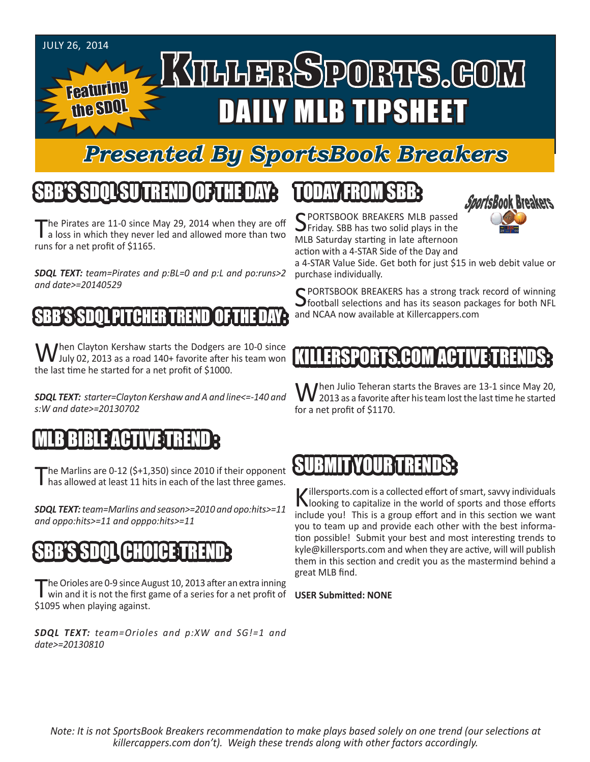

# *Presented By SportsBook Breakers*

# TREND SU

The Pirates are 11-0 since May 29, 2014 when they are off<br>a loss in which they never led and allowed more than two runs for a net profit of \$1165.

*SDQL TEXT: team=Pirates and p:BL=0 and p:L and po:runs>2 and date>=20140529* 

## **SBB'S SDOL PITCHER TREN**

When Clayton Kershaw starts the Dodgers are 10-0 since<br>July 02, 2013 as a road 140+ favorite after his team won the last time he started for a net profit of \$1000.

*SDQL TEXT: starter=Clayton Kershaw and A and line<=-140 and s:W and date>=20130702*

#### BIBLE ACTIV

The Marlins are 0-12 (\$+1,350) since 2010 if their opponent has allowed at least 11 hits in each of the last three games.

*SDQL TEXT: team=Marlins and season>=2010 and opo:hits>=11 and oppo:hits>=11 and opppo:hits>=11*

## CHO

The Orioles are 0-9 since August 10, 2013 after an extra inning<br>win and it is not the first game of a series for a net profit of **USER Submitted: NONE** \$1095 when playing against.

*SDQL TEXT: team=Orioles and p:XW and SG!=1 and date>=20130810*

# TODAY FROM SBB:

SPORTSBOOK BREAKERS MLB passed<br>Seriday. SBB has two solid plays in the MLB Saturday starting in late afternoon action with a 4-STAR Side of the Day and



a 4-STAR Value Side. Get both for just \$15 in web debit value or purchase individually.

C PORTSBOOK BREAKERS has a strong track record of winning  $\bigcup$  football selections and has its season packages for both NFL and NCAA now available at Killercappers.com

## ERSPORTS.COM

When Julio Teheran starts the Braves are 13-1 since May 20,<br>
See all as a favorite after his team lost the last time he started for a net profit of \$1170.

# SUBMIT YOUR TREN

Killersports.com is a collected effort of smart, savvy individuals<br>Nooking to capitalize in the world of sports and those efforts include you! This is a group effort and in this section we want you to team up and provide each other with the best information possible! Submit your best and most interesting trends to kyle@killersports.com and when they are active, will will publish them in this section and credit you as the mastermind behind a great MLB find.

*Note: It is not SportsBook Breakers recommendation to make plays based solely on one trend (our selections at killercappers.com don't). Weigh these trends along with other factors accordingly.*